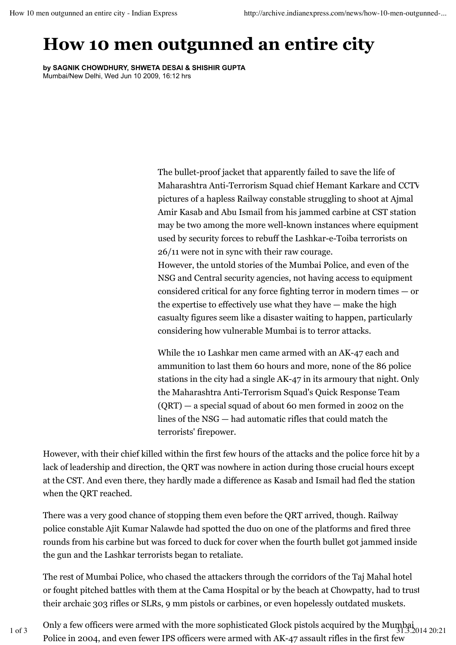## **How 10 men outgunned an entire city**

**by SAGNIK CHOWDHURY, SHWETA DESAI & SHISHIR GUPTA** Mumbai/New Delhi, Wed Jun 10 2009, 16:12 hrs

> The bullet-proof jacket that apparently failed to save the life of Maharashtra Anti-Terrorism Squad chief Hemant Karkare and CCTV pictures of a hapless Railway constable struggling to shoot at Ajmal Amir Kasab and Abu Ismail from his jammed carbine at CST station may be two among the more well-known instances where equipment used by security forces to rebuff the Lashkar-e-Toiba terrorists on 26/11 were not in sync with their raw courage.

> However, the untold stories of the Mumbai Police, and even of the NSG and Central security agencies, not having access to equipment considered critical for any force fighting terror in modern times — or the expertise to effectively use what they have — make the high casualty figures seem like a disaster waiting to happen, particularly considering how vulnerable Mumbai is to terror attacks.

> While the 10 Lashkar men came armed with an AK-47 each and ammunition to last them 60 hours and more, none of the 86 police stations in the city had a single AK-47 in its armoury that night. Only the Maharashtra Anti-Terrorism Squad's Quick Response Team (QRT) — a special squad of about 60 men formed in 2002 on the lines of the NSG — had automatic rifles that could match the terrorists' firepower.

However, with their chief killed within the first few hours of the attacks and the police force hit by a lack of leadership and direction, the QRT was nowhere in action during those crucial hours except at the CST. And even there, they hardly made a difference as Kasab and Ismail had fled the station when the QRT reached.

There was a very good chance of stopping them even before the QRT arrived, though. Railway police constable Ajit Kumar Nalawde had spotted the duo on one of the platforms and fired three rounds from his carbine but was forced to duck for cover when the fourth bullet got jammed inside the gun and the Lashkar terrorists began to retaliate.

The rest of Mumbai Police, who chased the attackers through the corridors of the Taj Mahal hotel or fought pitched battles with them at the Cama Hospital or by the beach at Chowpatty, had to trust their archaic 303 rifles or SLRs, 9 mm pistols or carbines, or even hopelessly outdated muskets.

Only a few officers were armed with the more sophisticated Glock pistols acquired by the Mumbai 1 of 3 31.3.2014 20:21Police in 2004, and even fewer IPS officers were armed with AK-47 assault rifles in the first few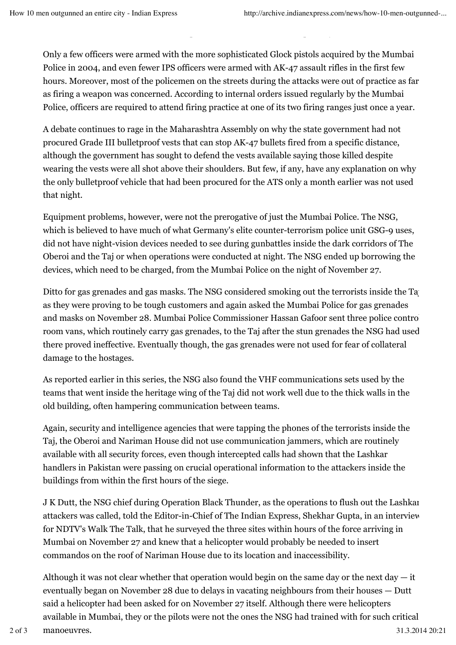Only a few officers were armed with the more sophisticated Glock pistols acquired by the Mumbai Police in 2004, and even fewer IPS officers were armed with AK-47 assault rifles in the first few hours. Moreover, most of the policemen on the streets during the attacks were out of practice as far as firing a weapon was concerned. According to internal orders issued regularly by the Mumbai Police, officers are required to attend firing practice at one of its two firing ranges just once a year.

their archaec 303  $r$  mm pistols or  $S$ LRs, 9  $m$  pistols or carbines, or even hopelessly outdated muskets.

A debate continues to rage in the Maharashtra Assembly on why the state government had not procured Grade III bulletproof vests that can stop AK-47 bullets fired from a specific distance, although the government has sought to defend the vests available saying those killed despite wearing the vests were all shot above their shoulders. But few, if any, have any explanation on why the only bulletproof vehicle that had been procured for the ATS only a month earlier was not used that night.

Equipment problems, however, were not the prerogative of just the Mumbai Police. The NSG, which is believed to have much of what Germany's elite counter-terrorism police unit GSG-9 uses, did not have night-vision devices needed to see during gunbattles inside the dark corridors of The Oberoi and the Taj or when operations were conducted at night. The NSG ended up borrowing the devices, which need to be charged, from the Mumbai Police on the night of November 27.

Ditto for gas grenades and gas masks. The NSG considered smoking out the terrorists inside the Taj as they were proving to be tough customers and again asked the Mumbai Police for gas grenades and masks on November 28. Mumbai Police Commissioner Hassan Gafoor sent three police control room vans, which routinely carry gas grenades, to the Taj after the stun grenades the NSG had used there proved ineffective. Eventually though, the gas grenades were not used for fear of collateral damage to the hostages.

As reported earlier in this series, the NSG also found the VHF communications sets used by the teams that went inside the heritage wing of the Taj did not work well due to the thick walls in the old building, often hampering communication between teams.

Again, security and intelligence agencies that were tapping the phones of the terrorists inside the Taj, the Oberoi and Nariman House did not use communication jammers, which are routinely available with all security forces, even though intercepted calls had shown that the Lashkar handlers in Pakistan were passing on crucial operational information to the attackers inside the buildings from within the first hours of the siege.

J K Dutt, the NSG chief during Operation Black Thunder, as the operations to flush out the Lashkar attackers was called, told the Editor-in-Chief of The Indian Express, Shekhar Gupta, in an interview for NDTV's Walk The Talk, that he surveyed the three sites within hours of the force arriving in Mumbai on November 27 and knew that a helicopter would probably be needed to insert commandos on the roof of Nariman House due to its location and inaccessibility.

Although it was not clear whether that operation would begin on the same day or the next day  $-$  it eventually began on November 28 due to delays in vacating neighbours from their houses — Dutt said a helicopter had been asked for on November 27 itself. Although there were helicopters available in Mumbai, they or the pilots were not the ones the NSG had trained with for such critical manoeuvres. 2 of 3 manoeuvres. 31.3.2014 20:21